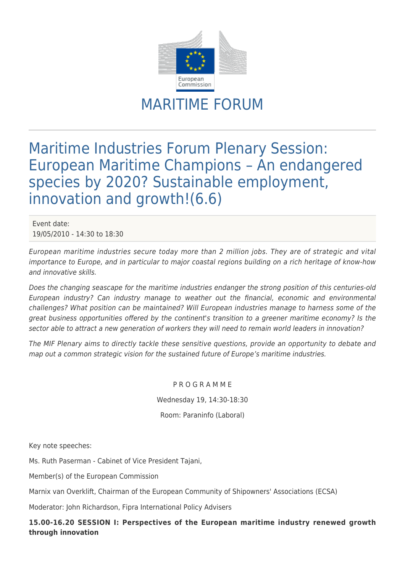

## MARITIME FORUM

## Maritime Industries Forum Plenary Session: European Maritime Champions – An endangered species by 2020? Sustainable employment, innovation and growth!(6.6)

Event date: 19/05/2010 - 14:30 to 18:30

European maritime industries secure today more than 2 million jobs. They are of strategic and vital importance to Europe, and in particular to major coastal regions building on a rich heritage of know-how and innovative skills.

Does the changing seascape for the maritime industries endanger the strong position of this centuries-old European industry? Can industry manage to weather out the financial, economic and environmental challenges? What position can be maintained? Will European industries manage to harness some of the great business opportunities offered by the continent's transition to a greener maritime economy? Is the sector able to attract a new generation of workers they will need to remain world leaders in innovation?

The MIF Plenary aims to directly tackle these sensitive questions, provide an opportunity to debate and map out a common strategic vision for the sustained future of Europe's maritime industries.

> P R O G R A M M E Wednesday 19, 14:30-18:30 Room: Paraninfo (Laboral)

Key note speeches:

Ms. Ruth Paserman - Cabinet of Vice President Tajani,

Member(s) of the European Commission

Marnix van Overklift, Chairman of the European Community of Shipowners' Associations (ECSA)

Moderator: John Richardson, Fipra International Policy Advisers

**15.00-16.20 SESSION I: Perspectives of the European maritime industry renewed growth through innovation**